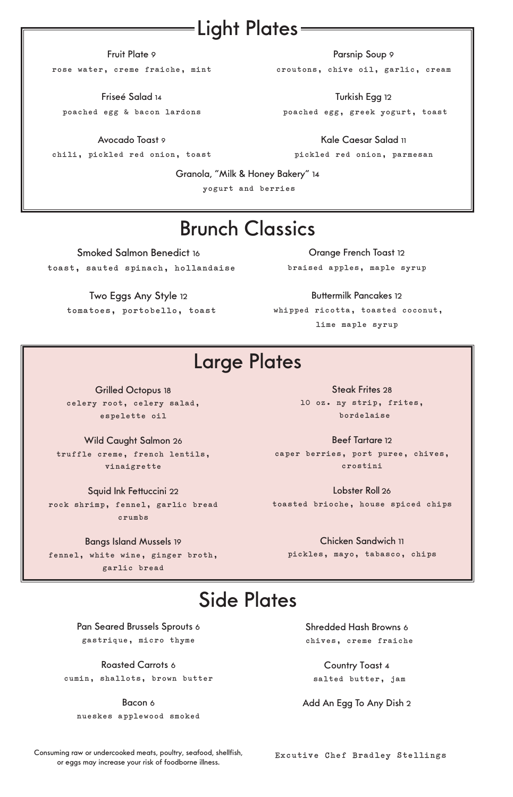### Light Plates:

#### Fruit Plate 9

**rose water, creme fraiche, mint**

Friseé Salad 14

**poached egg & bacon lardons**

Avocado Toast 9

**chili, pickled red onion, toast**

Parsnip Soup 9

**croutons, chive oil, garlic, cream** 

Turkish Egg 12 **poached egg, greek yogurt, toast**

Kale Caesar Salad 11 **pickled red onion, parmesan**

Granola, "Milk & Honey Bakery" 14

**yogurt and berries**

#### Brunch Classics

Smoked Salmon Benedict 16  **toast, sauted spinach, hollandaise**

Two Eggs Any Style 12  **tomatoes, portobello, toast**

Orange French Toast 12 **braised apples, maple syrup** 

Buttermilk Pancakes 12 **whipped ricotta, toasted coconut, lime maple syrup**

## Large Plates

Grilled Octopus 18 **celery root, celery salad, espelette oil** 

Wild Caught Salmon 26 **truffle creme, french lentils, vinaigrette**

Squid Ink Fettuccini 22 **rock shrimp, fennel, garlic bread crumbs**

#### Bangs Island Mussels 19

**fennel, white wine, ginger broth, garlic bread**

Steak Frites 28 **10 oz. ny strip, frites, bordelaise**

Beef Tartare 12 **caper berries, port puree, chives, crostini**

Lobster Roll 26 **toasted brioche, house spiced chips**

> Chicken Sandwich 11 **pickles, mayo, tabasco, chips**

### Side Plates

Pan Seared Brussels Sprouts 6 **gastrique, micro thyme**

Roasted Carrots 6 **cumin, shallots, brown butter** 

Bacon 6 **nueskes applewood smoked**

Shredded Hash Browns 6  **chives, creme fraiche**

Country Toast 4  **salted butter, jam**

Add An Egg To Any Dish 2

Consuming raw or undercooked meats, poultry, seafood, shellfish, or eggs may increase your risk of foodborne illness. **Excutive Chef Bradley Stellings**